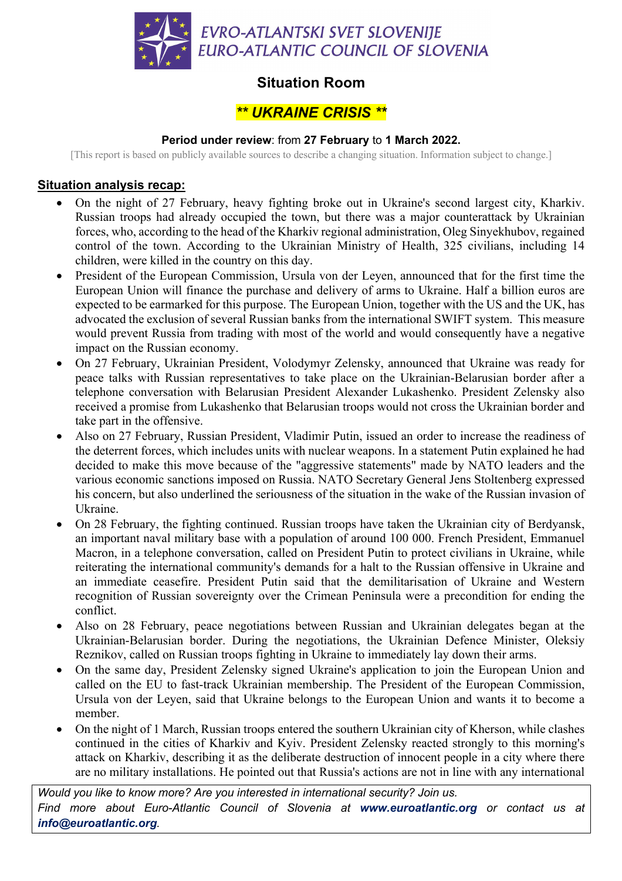

# **Situation Room**

# *\*\* UKRAINE CRISIS \*\**

#### **Period under review**: from **27 February** to **1 March 2022.**

[This report is based on publicly available sources to describe a changing situation. Information subject to change.]

### **Situation analysis recap:**

- On the night of 27 February, heavy fighting broke out in Ukraine's second largest city, Kharkiv. Russian troops had already occupied the town, but there was a major counterattack by Ukrainian forces, who, according to the head of the Kharkiv regional administration, Oleg Sinyekhubov, regained control of the town. According to the Ukrainian Ministry of Health, 325 civilians, including 14 children, were killed in the country on this day.
- President of the European Commission, Ursula von der Leyen, announced that for the first time the European Union will finance the purchase and delivery of arms to Ukraine. Half a billion euros are expected to be earmarked for this purpose. The European Union, together with the US and the UK, has advocated the exclusion of several Russian banks from the international SWIFT system. This measure would prevent Russia from trading with most of the world and would consequently have a negative impact on the Russian economy.
- On 27 February, Ukrainian President, Volodymyr Zelensky, announced that Ukraine was ready for peace talks with Russian representatives to take place on the Ukrainian-Belarusian border after a telephone conversation with Belarusian President Alexander Lukashenko. President Zelensky also received a promise from Lukashenko that Belarusian troops would not cross the Ukrainian border and take part in the offensive.
- Also on 27 February, Russian President, Vladimir Putin, issued an order to increase the readiness of the deterrent forces, which includes units with nuclear weapons. In a statement Putin explained he had decided to make this move because of the "aggressive statements" made by NATO leaders and the various economic sanctions imposed on Russia. NATO Secretary General Jens Stoltenberg expressed his concern, but also underlined the seriousness of the situation in the wake of the Russian invasion of Ukraine.
- On 28 February, the fighting continued. Russian troops have taken the Ukrainian city of Berdyansk, an important naval military base with a population of around 100 000. French President, Emmanuel Macron, in a telephone conversation, called on President Putin to protect civilians in Ukraine, while reiterating the international community's demands for a halt to the Russian offensive in Ukraine and an immediate ceasefire. President Putin said that the demilitarisation of Ukraine and Western recognition of Russian sovereignty over the Crimean Peninsula were a precondition for ending the conflict.
- Also on 28 February, peace negotiations between Russian and Ukrainian delegates began at the Ukrainian-Belarusian border. During the negotiations, the Ukrainian Defence Minister, Oleksiy Reznikov, called on Russian troops fighting in Ukraine to immediately lay down their arms.
- On the same day, President Zelensky signed Ukraine's application to join the European Union and called on the EU to fast-track Ukrainian membership. The President of the European Commission, Ursula von der Leyen, said that Ukraine belongs to the European Union and wants it to become a member.
- On the night of 1 March, Russian troops entered the southern Ukrainian city of Kherson, while clashes continued in the cities of Kharkiv and Kyiv. President Zelensky reacted strongly to this morning's attack on Kharkiv, describing it as the deliberate destruction of innocent people in a city where there are no military installations. He pointed out that Russia's actions are not in line with any international

*Would you like to know more? Are you interested in international security? Join us. Find more about Euro-Atlantic Council of Slovenia at www.euroatlantic.org or contact us at info@euroatlantic.org.*